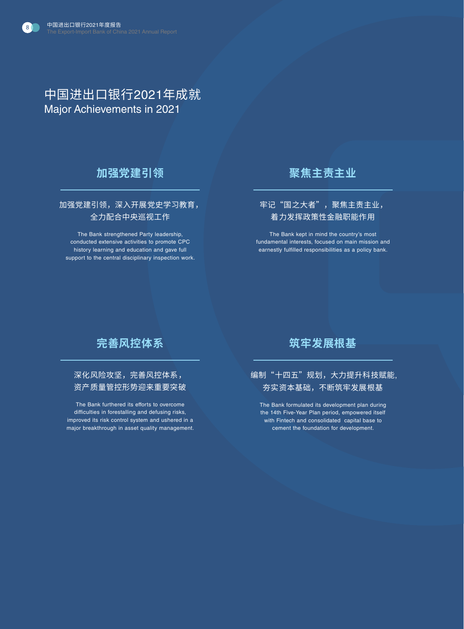# 中国进出口银行2021年成就 Major Achievements in 2021

### **加强党建引领**

 加强党建引领,深入开展党史学习教育, 全力配合中央巡视工作

The Bank strengthened Party leadership, conducted extensive activities to promote CPC history learning and education and gave full support to the central disciplinary inspection work.

### **聚焦主责主业**

#### 牢记"国之大者",聚焦主责主业, 着力发挥政策性金融职能作用

The Bank kept in mind the country's most fundamental interests, focused on main mission and earnestly fulfilled responsibilities as a policy bank.

## **完善风控体系**

深化风险攻坚,完善风控体系, 资产质量管控形势迎来重要突破

The Bank furthered its efforts to overcome difficulties in forestalling and defusing risks, improved its risk control system and ushered in a major breakthrough in asset quality management.

### **筑牢发展根基**

#### 编制"十四五"规划,大力提升科技赋能, 夯实资本基础,不断筑牢发展根基

The Bank formulated its development plan during the 14th Five-Year Plan period, empowered itself with Fintech and consolidated capital base to cement the foundation for development.